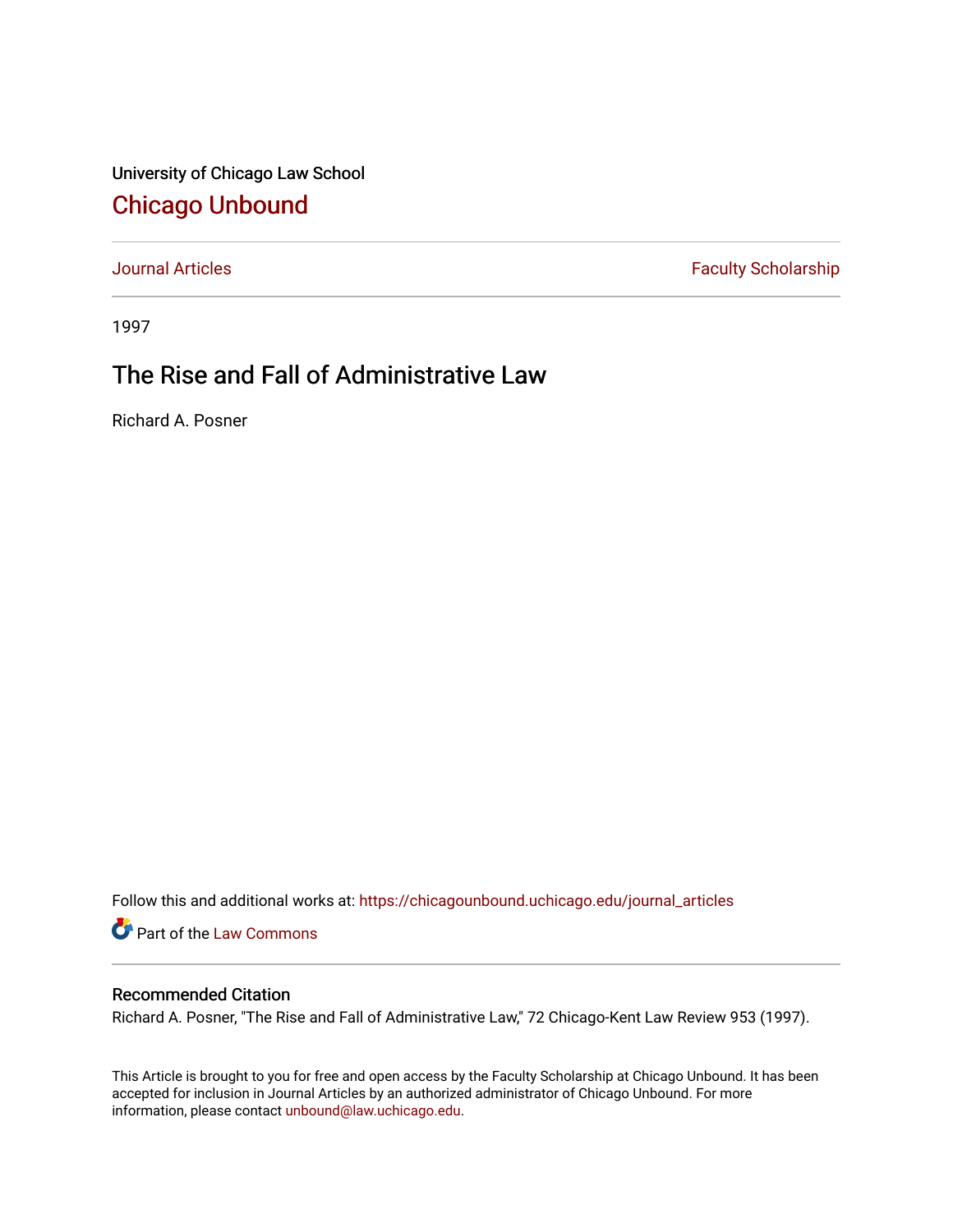University of Chicago Law School [Chicago Unbound](https://chicagounbound.uchicago.edu/)

[Journal Articles](https://chicagounbound.uchicago.edu/journal_articles) **Faculty Scholarship Faculty Scholarship** 

1997

## The Rise and Fall of Administrative Law

Richard A. Posner

Follow this and additional works at: [https://chicagounbound.uchicago.edu/journal\\_articles](https://chicagounbound.uchicago.edu/journal_articles?utm_source=chicagounbound.uchicago.edu%2Fjournal_articles%2F724&utm_medium=PDF&utm_campaign=PDFCoverPages) 

Part of the [Law Commons](http://network.bepress.com/hgg/discipline/578?utm_source=chicagounbound.uchicago.edu%2Fjournal_articles%2F724&utm_medium=PDF&utm_campaign=PDFCoverPages)

## Recommended Citation

Richard A. Posner, "The Rise and Fall of Administrative Law," 72 Chicago-Kent Law Review 953 (1997).

This Article is brought to you for free and open access by the Faculty Scholarship at Chicago Unbound. It has been accepted for inclusion in Journal Articles by an authorized administrator of Chicago Unbound. For more information, please contact [unbound@law.uchicago.edu](mailto:unbound@law.uchicago.edu).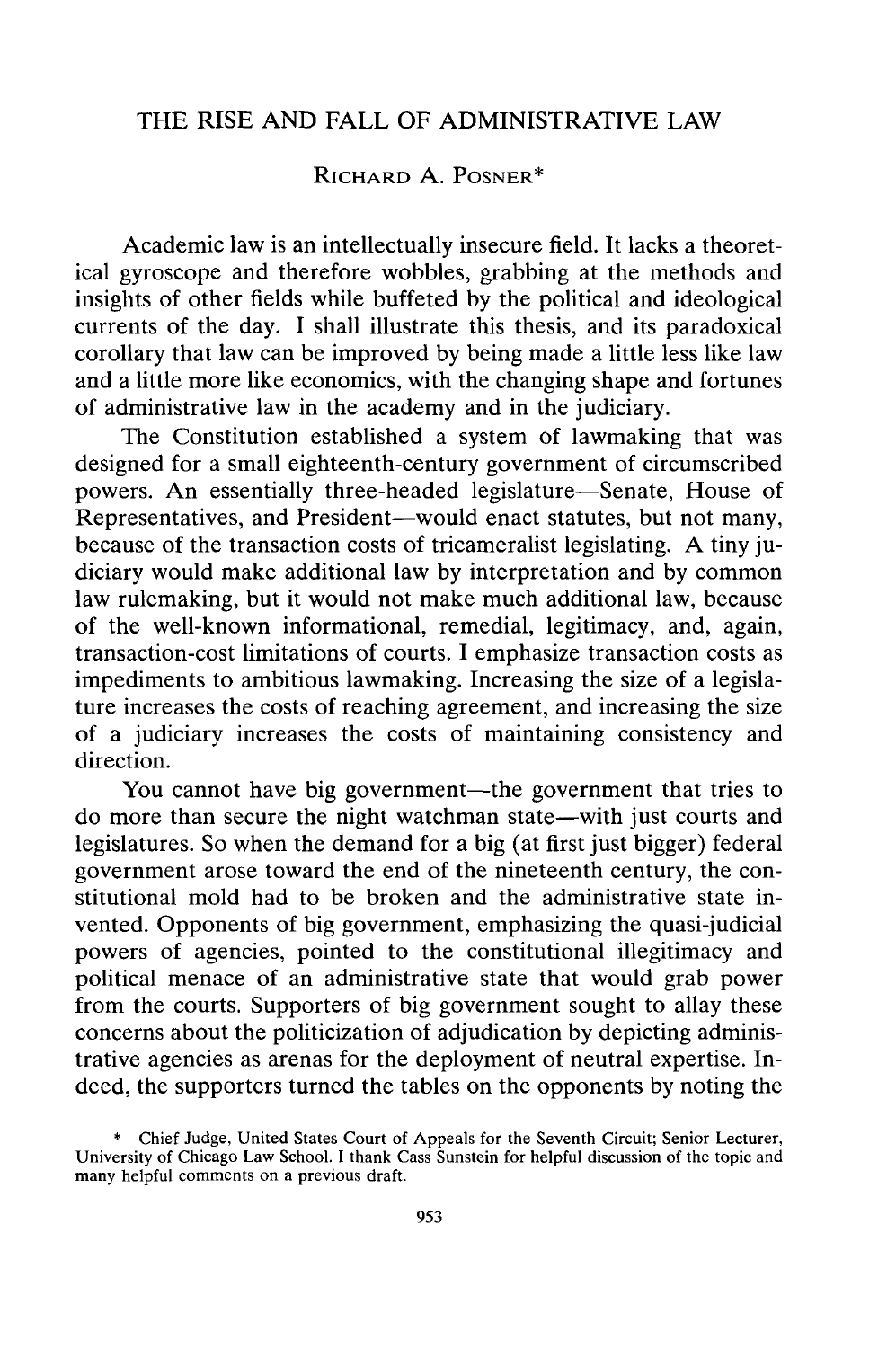## THE RISE **AND** FALL OF ADMINISTRATIVE LAW

## RICHARD **A.** POSNER\*

Academic law is an intellectually insecure field. It lacks a theoretical gyroscope and therefore wobbles, grabbing at the methods and insights of other fields while buffeted by the political and ideological currents of the day. I shall illustrate this thesis, and its paradoxical corollary that law can be improved by being made a little less like law and a little more like economics, with the changing shape and fortunes of administrative law in the academy and in the judiciary.

The Constitution established a system of lawmaking that was designed for a small eighteenth-century government of circumscribed powers. An essentially three-headed legislature-Senate, House of Representatives, and President-would enact statutes, but not many, because of the transaction costs of tricameralist legislating. A tiny judiciary would make additional law by interpretation and by common law rulemaking, but it would not make much additional law, because of the well-known informational, remedial, legitimacy, and, again, transaction-cost limitations of courts. I emphasize transaction costs as impediments to ambitious lawmaking. Increasing the size of a legislature increases the costs of reaching agreement, and increasing the size of a judiciary increases the costs of maintaining consistency and direction.

You cannot have big government-the government that tries to do more than secure the night watchman state-with just courts and legislatures. So when the demand for a big (at first just bigger) federal government arose toward the end of the nineteenth century, the constitutional mold had to be broken and the administrative state invented. Opponents of big government, emphasizing the quasi-judicial powers of agencies, pointed to the constitutional illegitimacy and political menace of an administrative state that would grab power from the courts. Supporters of big government sought to allay these concerns about the politicization of adjudication by depicting administrative agencies as arenas for the deployment of neutral expertise. Indeed, the supporters turned the tables on the opponents by noting the

Chief Judge, United States Court of Appeals for the Seventh Circuit; Senior Lecturer, University of Chicago Law School. I thank Cass Sunstein for helpful discussion of the topic and many helpful comments on a previous draft.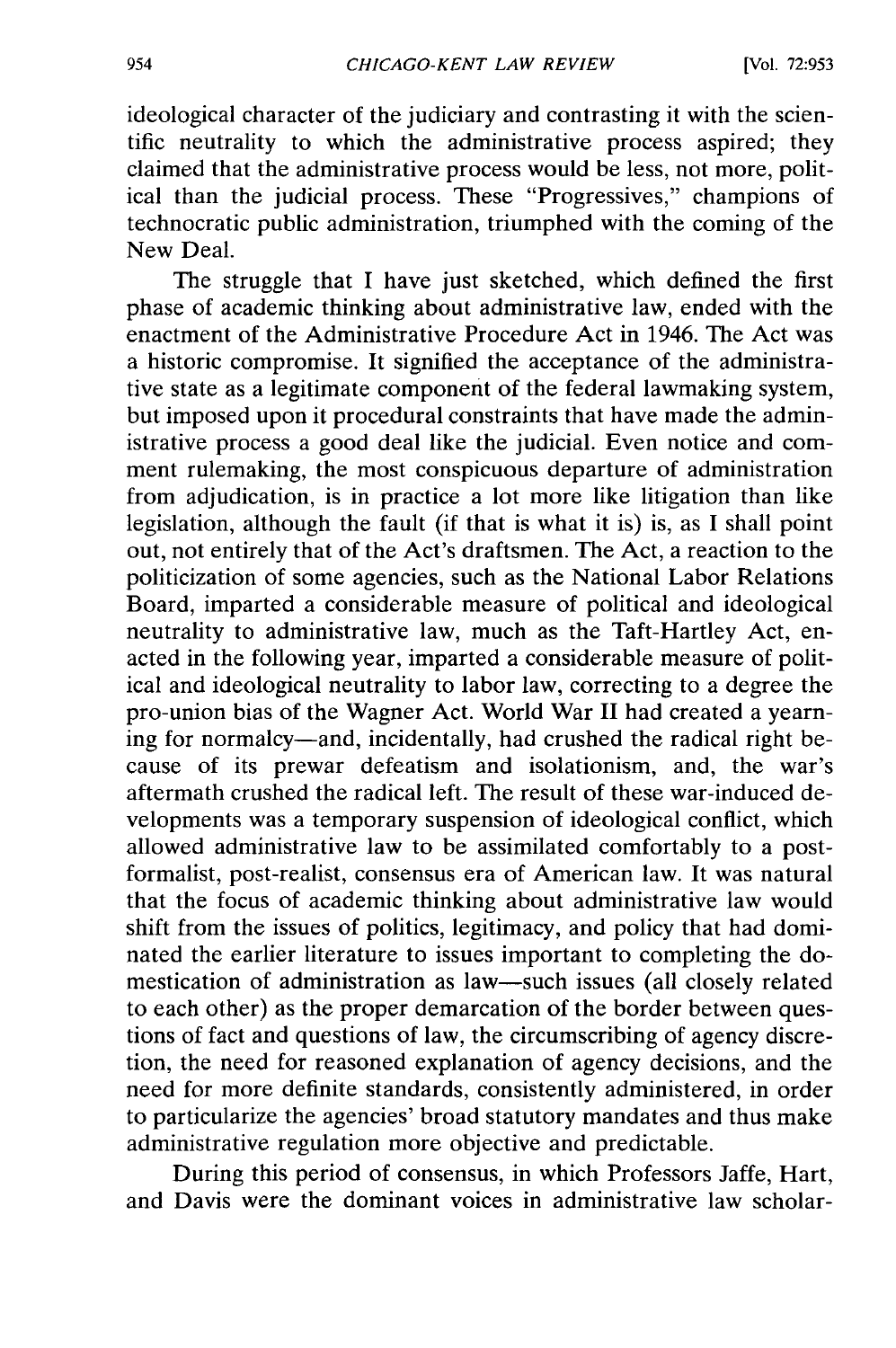ideological character of the judiciary and contrasting it with the scientific neutrality to which the administrative process aspired; they claimed that the administrative process would be less, not more, political than the judicial process. These "Progressives," champions of technocratic public administration, triumphed with the coming of the New Deal.

The struggle that I have just sketched, which defined the first phase of academic thinking about administrative law, ended with the enactment of the Administrative Procedure Act in 1946. The Act was a historic compromise. It signified the acceptance of the administrative state as a legitimate component of the federal lawmaking system, but imposed upon it procedural constraints that have made the administrative process a good deal like the judicial. Even notice and comment rulemaking, the most conspicuous departure of administration from adjudication, is in practice a lot more like litigation than like legislation, although the fault (if that is what it is) is, as I shall point out, not entirely that of the Act's draftsmen. The Act, a reaction to the politicization of some agencies, such as the National Labor Relations Board, imparted a considerable measure of political and ideological neutrality to administrative law, much as the Taft-Hartley Act, enacted in the following year, imparted a considerable measure of political and ideological neutrality to labor law, correcting to a degree the pro-union bias of the Wagner Act. World War II had created a yearning for normalcy-and, incidentally, had crushed the radical right because of its prewar defeatism and isolationism, and, the war's aftermath crushed the radical left. The result of these war-induced developments was a temporary suspension of ideological conflict, which allowed administrative law to be assimilated comfortably to a postformalist, post-realist, consensus era of American law. It was natural that the focus of academic thinking about administrative law would shift from the issues of politics, legitimacy, and policy that had dominated the earlier literature to issues important to completing the domestication of administration as law-such issues (all closely related to each other) as the proper demarcation of the border between questions of fact and questions of law, the circumscribing of agency discretion, the need for reasoned explanation of agency decisions, and the need for more definite standards, consistently administered, in order to particularize the agencies' broad statutory mandates and thus make administrative regulation more objective and predictable.

During this period of consensus, in which Professors Jaffe, Hart, and Davis were the dominant voices in administrative law scholar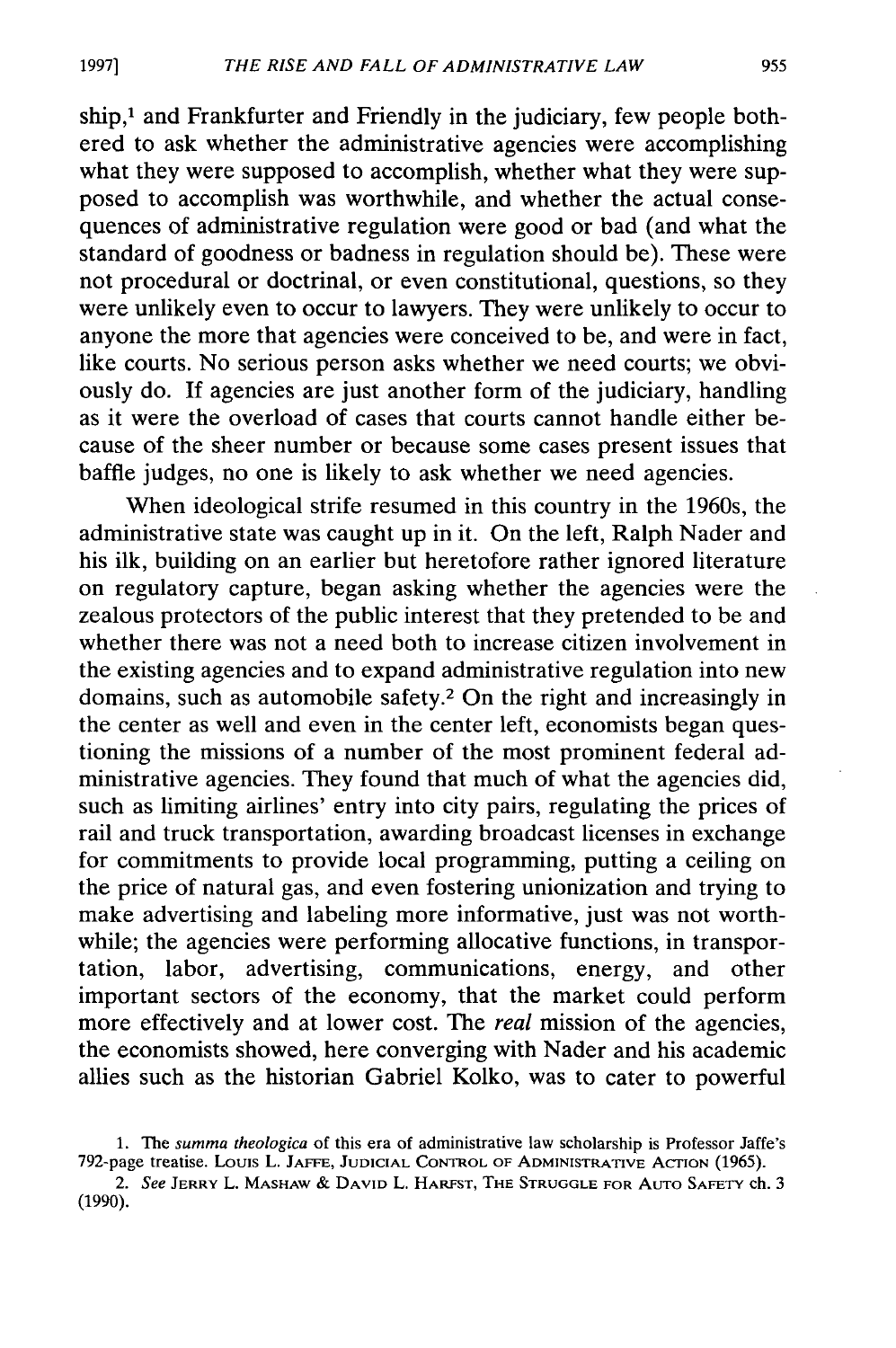ship,<sup>1</sup> and Frankfurter and Friendly in the judiciary, few people bothered to ask whether the administrative agencies were accomplishing what they were supposed to accomplish, whether what they were supposed to accomplish was worthwhile, and whether the actual consequences of administrative regulation were good or bad (and what the standard of goodness or badness in regulation should be). These were not procedural or doctrinal, or even constitutional, questions, so they were unlikely even to occur to lawyers. They were unlikely to occur to anyone the more that agencies were conceived to be, and were in fact, like courts. No serious person asks whether we need courts; we obviously do. If agencies are just another form of the judiciary, handling as it were the overload of cases that courts cannot handle either because of the sheer number or because some cases present issues that baffle judges, no one is likely to ask whether we need agencies.

When ideological strife resumed in this country in the 1960s, the administrative state was caught up in it. On the left, Ralph Nader and his ilk, building on an earlier but heretofore rather ignored literature on regulatory capture, began asking whether the agencies were the zealous protectors of the public interest that they pretended to be and whether there was not a need both to increase citizen involvement in the existing agencies and to expand administrative regulation into new domains, such as automobile safety.<sup>2</sup> On the right and increasingly in the center as well and even in the center left, economists began questioning the missions of a number of the most prominent federal administrative agencies. They found that much of what the agencies did, such as limiting airlines' entry into city pairs, regulating the prices of rail and truck transportation, awarding broadcast licenses in exchange for commitments to provide local programming, putting a ceiling on the price of natural gas, and even fostering unionization and trying to make advertising and labeling more informative, just was not worthwhile; the agencies were performing allocative functions, in transportation, labor, advertising, communications, energy, and other important sectors of the economy, that the market could perform more effectively and at lower cost. The *real* mission of the agencies, the economists showed, here converging with Nader and his academic allies such as the historian Gabriel Kolko, was to cater to powerful

**19971**

<sup>1.</sup> *The summa theologica* of this era of administrative law scholarship is Professor Jaffe's 792-page treatise. Louis L. **JAFFE, JUDICIAL** CONTROL OF ADMINISTRATIVE **ACTION** (1965).

*<sup>2.</sup> See* JERRY L. MASHAW **& DAVID** L. HARFST, THE **STRUGGLE** FOR AUTO **SAFETY** ch. 3 (1990).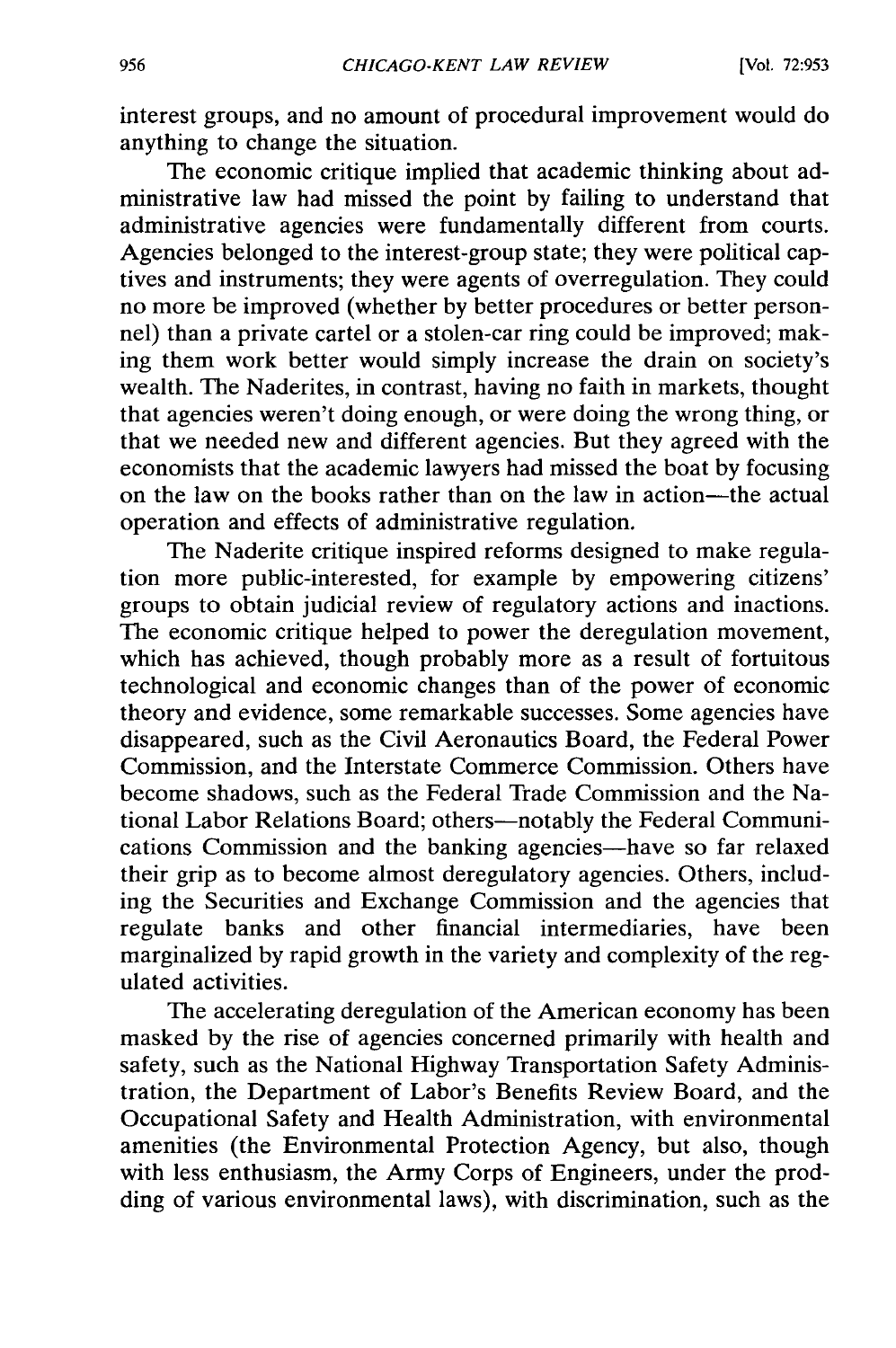interest groups, and no amount of procedural improvement would do anything to change the situation.

The economic critique implied that academic thinking about administrative law had missed the point by failing to understand that administrative agencies were fundamentally different from courts. Agencies belonged to the interest-group state; they were political captives and instruments; they were agents of overregulation. They could no more be improved (whether by better procedures or better personnel) than a private cartel or a stolen-car ring could be improved; making them work better would simply increase the drain on society's wealth. The Naderites, in contrast, having no faith in markets, thought that agencies weren't doing enough, or were doing the wrong thing, or that we needed new and different agencies. But they agreed with the economists that the academic lawyers had missed the boat by focusing on the law on the books rather than on the law in action-the actual operation and effects of administrative regulation.

The Naderite critique inspired reforms designed to make regulation more public-interested, for example by empowering citizens' groups to obtain judicial review of regulatory actions and inactions. The economic critique helped to power the deregulation movement, which has achieved, though probably more as a result of fortuitous technological and economic changes than of the power of economic theory and evidence, some remarkable successes. Some agencies have disappeared, such as the Civil Aeronautics Board, the Federal Power Commission, and the Interstate Commerce Commission. Others have become shadows, such as the Federal Trade Commission and the National Labor Relations Board; others-notably the Federal Communications Commission and the banking agencies-have so far relaxed their grip as to become almost deregulatory agencies. Others, including the Securities and Exchange Commission and the agencies that regulate banks and other financial intermediaries, have been marginalized by rapid growth in the variety and complexity of the regulated activities.

The accelerating deregulation of the American economy has been masked by the rise of agencies concerned primarily with health and safety, such as the National Highway Transportation Safety Administration, the Department of Labor's Benefits Review Board, and the Occupational Safety and Health Administration, with environmental amenities (the Environmental Protection Agency, but also, though with less enthusiasm, the Army Corps of Engineers, under the prodding of various environmental laws), with discrimination, such as the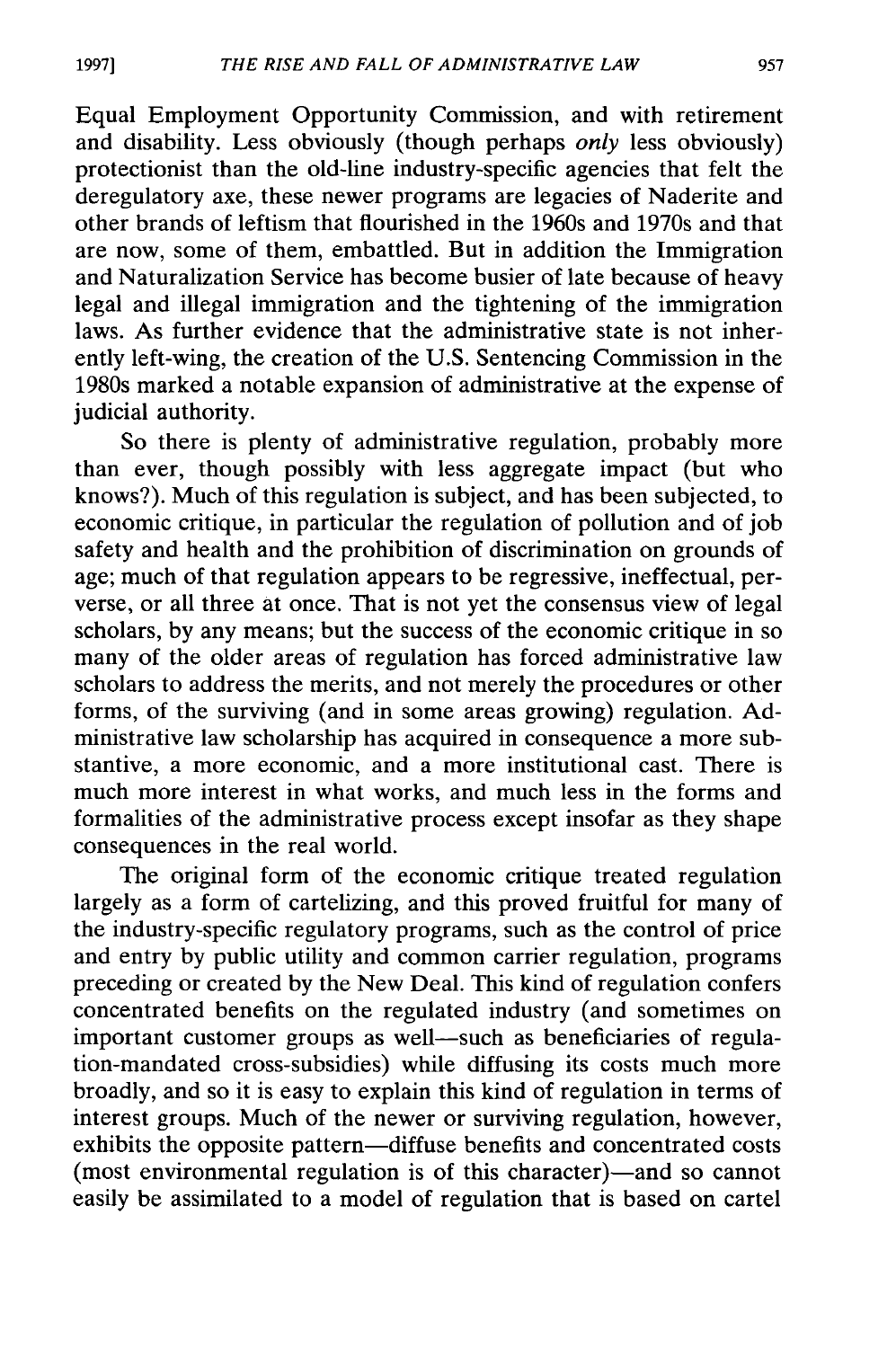Equal Employment Opportunity Commission, and with retirement and disability. Less obviously (though perhaps *only* less obviously) protectionist than the old-line industry-specific agencies that felt the deregulatory axe, these newer programs are legacies of Naderite and other brands of leftism that flourished in the 1960s and 1970s and that are now, some of them, embattled. But in addition the Immigration and Naturalization Service has become busier of late because of heavy legal and illegal immigration and the tightening of the immigration laws. As further evidence that the administrative state is not inherently left-wing, the creation of the U.S. Sentencing Commission in the 1980s marked a notable expansion of administrative at the expense of judicial authority.

So there is plenty of administrative regulation, probably more than ever, though possibly with less aggregate impact (but who knows?). Much of this regulation is subject, and has been subjected, to economic critique, in particular the regulation of pollution and of job safety and health and the prohibition of discrimination on grounds of age; much of that regulation appears to be regressive, ineffectual, perverse, or all three at once. That is not yet the consensus view of legal scholars, by any means; but the success of the economic critique in so many of the older areas of regulation has forced administrative law scholars to address the merits, and not merely the procedures or other forms, of the surviving (and in some areas growing) regulation. Administrative law scholarship has acquired in consequence a more substantive, a more economic, and a more institutional cast. There is much more interest in what works, and much less in the forms and formalities of the administrative process except insofar as they shape consequences in the real world.

The original form of the economic critique treated regulation largely as a form of cartelizing, and this proved fruitful for many of the industry-specific regulatory programs, such as the control of price and entry by public utility and common carrier regulation, programs preceding or created by the New Deal. This kind of regulation confers concentrated benefits on the regulated industry (and sometimes on important customer groups as well-such as beneficiaries of regulation-mandated cross-subsidies) while diffusing its costs much more broadly, and so it is easy to explain this kind of regulation in terms of interest groups. Much of the newer or surviving regulation, however, exhibits the opposite pattern-diffuse benefits and concentrated costs (most environmental regulation is of this character)—and so cannot easily be assimilated to a model of regulation that is based on cartel

**1997]**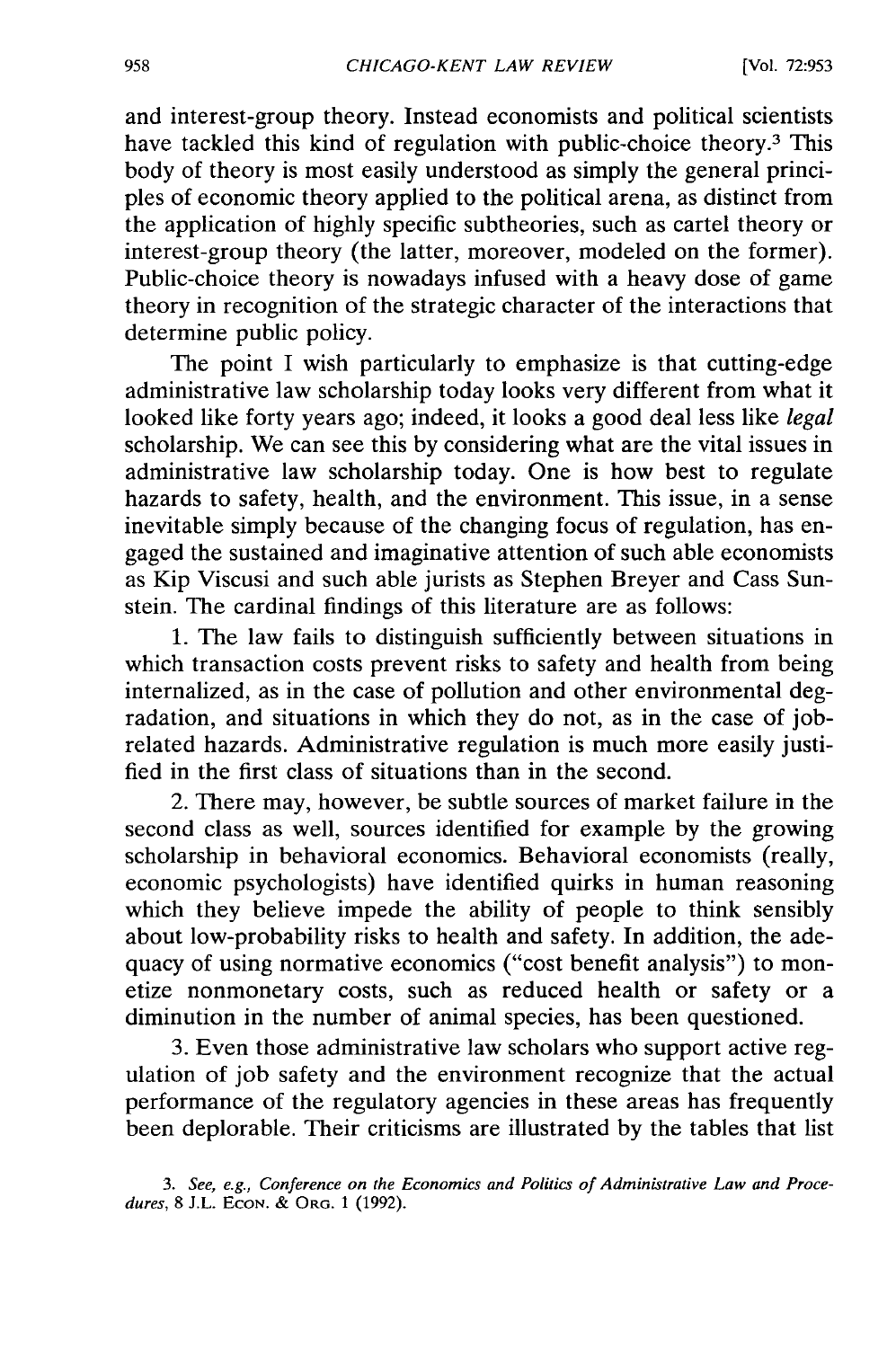and interest-group theory. Instead economists and political scientists have tackled this kind of regulation with public-choice theory.<sup>3</sup> This body of theory is most easily understood as simply the general principles of economic theory applied to the political arena, as distinct from the application of highly specific subtheories, such as cartel theory or interest-group theory (the latter, moreover, modeled on the former). Public-choice theory is nowadays infused with a heavy dose of game theory in recognition of the strategic character of the interactions that determine public policy.

The point I wish particularly to emphasize is that cutting-edge administrative law scholarship today looks very different from what it looked like forty years ago; indeed, it looks a good deal less like *legal* scholarship. We can see this by considering what are the vital issues in administrative law scholarship today. One is how best to regulate hazards to safety, health, and the environment. This issue, in a sense inevitable simply because of the changing focus of regulation, has engaged the sustained and imaginative attention of such able economists as Kip Viscusi and such able jurists as Stephen Breyer and Cass Sunstein. The cardinal findings of this literature are as follows:

1. The law fails to distinguish sufficiently between situations in which transaction costs prevent risks to safety and health from being internalized, as in the case of pollution and other environmental degradation, and situations in which they do not, as in the case of jobrelated hazards. Administrative regulation is much more easily justified in the first class of situations than in the second.

2. There may, however, be subtle sources of market failure in the second class as well, sources identified for example by the growing scholarship in behavioral economics. Behavioral economists (really, economic psychologists) have identified quirks in human reasoning which they believe impede the ability of people to think sensibly about low-probability risks to health and safety. In addition, the adequacy of using normative economics ("cost benefit analysis") to monetize nonmonetary costs, such as reduced health or safety or a diminution in the number of animal species, has been questioned.

3. Even those administrative law scholars who support active regulation of job safety and the environment recognize that the actual performance of the regulatory agencies in these areas has frequently been deplorable. Their criticisms are illustrated by the tables that list

*<sup>3.</sup> See, e.g., Conference on the Economics and Politics of Administrative Law and Procedures,* 8 J.L. **ECON.** & ORG. 1 (1992).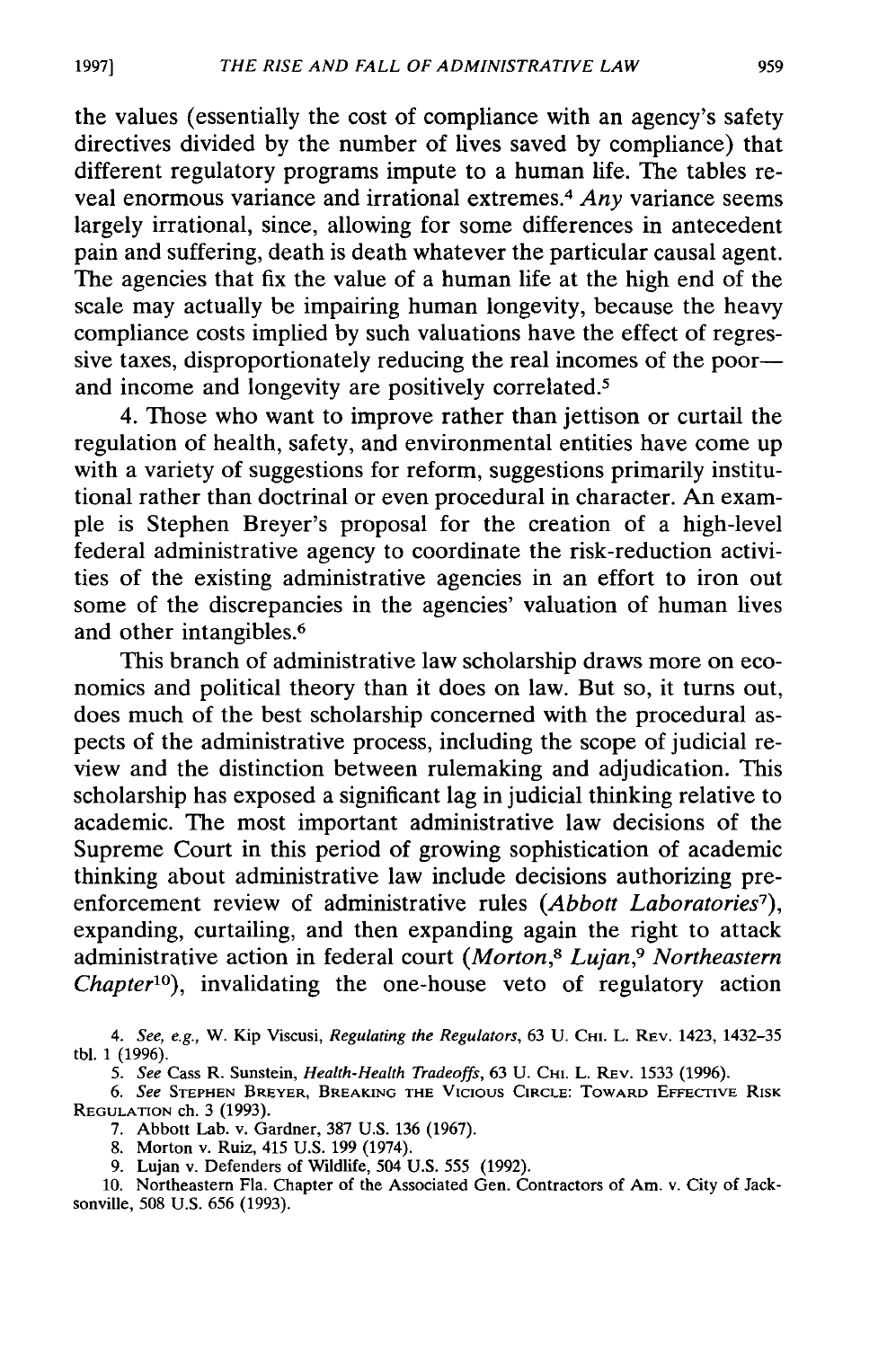the values (essentially the cost of compliance with an agency's safety directives divided by the number of lives saved by compliance) that different regulatory programs impute to a human life. The tables reveal enormous variance and irrational extremes.4 *Any* variance seems largely irrational, since, allowing for some differences in antecedent pain and suffering, death is death whatever the particular causal agent. The agencies that fix the value of a human life at the high end of the scale may actually be impairing human longevity, because the heavy compliance costs implied by such valuations have the effect of regressive taxes, disproportionately reducing the real incomes of the poorand income and longevity are positively correlated.<sup>5</sup>

4. Those who want to improve rather than jettison or curtail the regulation of health, safety, and environmental entities have come up with a variety of suggestions for reform, suggestions primarily institutional rather than doctrinal or even procedural in character. An example is Stephen Breyer's proposal for the creation of a high-level federal administrative agency to coordinate the risk-reduction activities of the existing administrative agencies in an effort to iron out some of the discrepancies in the agencies' valuation of human lives and other intangibles.<sup>6</sup>

This branch of administrative law scholarship draws more on economics and political theory than it does on law. But so, it turns out, does much of the best scholarship concerned with the procedural aspects of the administrative process, including the scope of judicial review and the distinction between rulemaking and adjudication. This scholarship has exposed a significant lag in judicial thinking relative to academic. The most important administrative law decisions of the Supreme Court in this period of growing sophistication of academic thinking about administrative law include decisions authorizing preenforcement review of administrative rules (Abbott Laboratories<sup>7</sup>), expanding, curtailing, and then expanding again the right to attack administrative action in federal court *(Morton,8 Lujan,9 Northeastern Chapter10),* invalidating the one-house veto of regulatory action

10. Northeastern Fla. Chapter of the Associated Gen. Contractors of Am. v. City of Jacksonville, 508 U.S. 656 (1993).

**19971**

*<sup>4.</sup> See, e.g.,* W. Kip Viscusi, Regulating the *Regulators,* 63 U. CHI. L. REV. 1423, 1432-35 tbl. 1 (1996).

*<sup>5.</sup>* See Cass R. Sunstein, *Health-Health Tradeoffs,* 63 U. CHI. L. REV. 1533 (1996).

*<sup>6.</sup>* See **STEPHEN BREYER,** BREAKING **THE** VICIOUS **CIRCLE:** TOWARD **EFFECTIVE** RISK REGULATION ch. 3 (1993).

<sup>7.</sup> Abbott Lab. v. Gardner, 387 U.S. 136 (1967).

<sup>8.</sup> Morton v. Ruiz, 415 U.S. 199 (1974).

<sup>9.</sup> Lujan v. Defenders of Wildlife, 504 U.S. 555 (1992).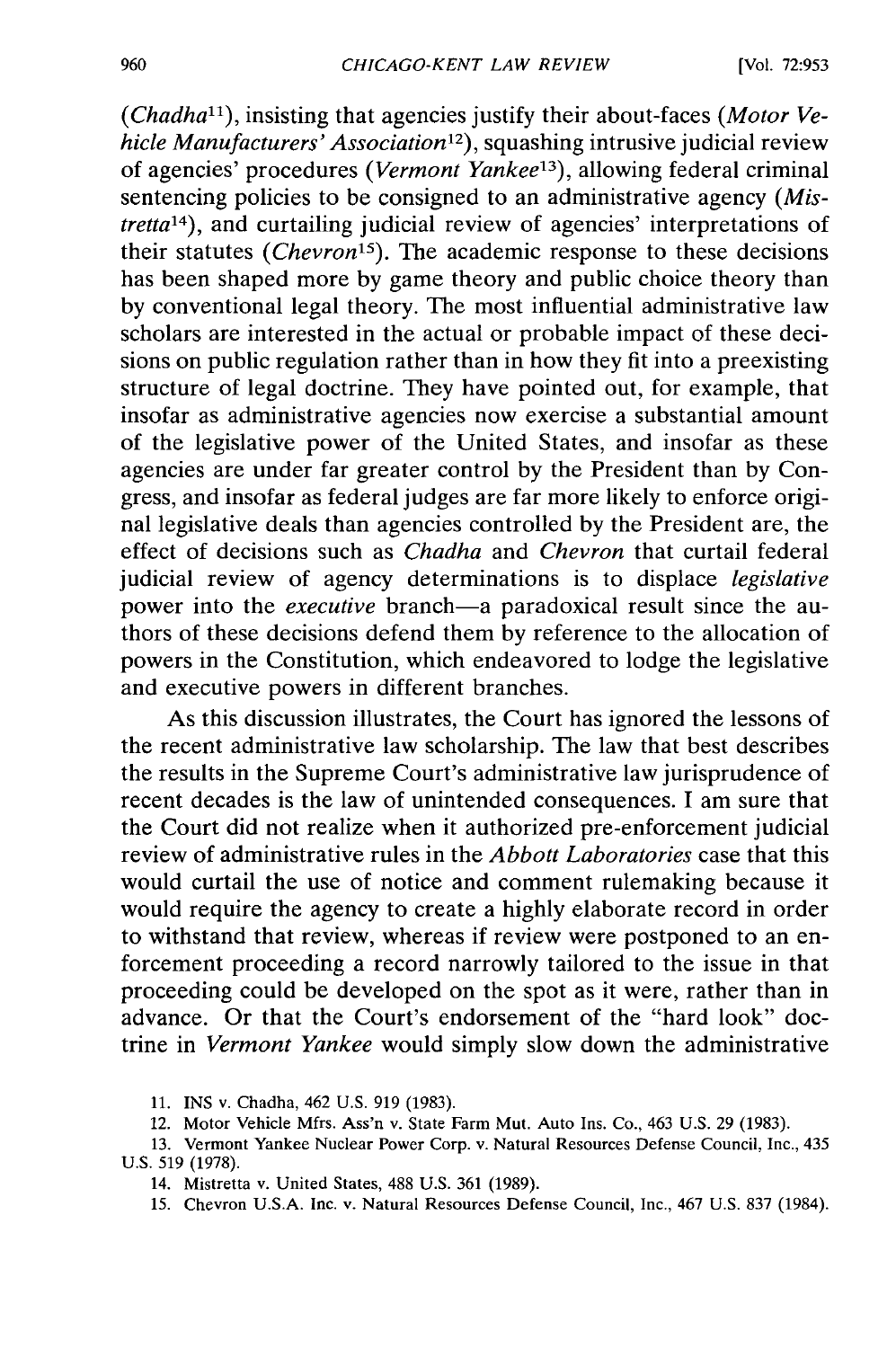*(Chadha1"),* insisting that agencies justify their about-faces *(Motor Ve*hicle Manufacturers' Association<sup>12</sup>), squashing intrusive judicial review of agencies' procedures *(Vermont Yankee<sup>13</sup>)*, allowing federal criminal sentencing policies to be consigned to an administrative agency *(Mistretta14 ),* and curtailing judicial review of agencies' interpretations of their statutes *(Chevron'5).* The academic response to these decisions has been shaped more by game theory and public choice theory than by conventional legal theory. The most influential administrative law scholars are interested in the actual or probable impact of these decisions on public regulation rather than in how they fit into a preexisting structure of legal doctrine. They have pointed out, for example, that insofar as administrative agencies now exercise a substantial amount of the legislative power of the United States, and insofar as these agencies are under far greater control by the President than by Congress, and insofar as federal judges are far more likely to enforce original legislative deals than agencies controlled by the President are, the effect of decisions such as *Chadha* and *Chevron* that curtail federal judicial review of agency determinations is to displace *legislative* power into the *executive* branch-a paradoxical result since the authors of these decisions defend them by reference to the allocation of powers in the Constitution, which endeavored to lodge the legislative and executive powers in different branches.

As this discussion illustrates, the Court has ignored the lessons of the recent administrative law scholarship. The law that best describes the results in the Supreme Court's administrative law jurisprudence of recent decades is the law of unintended consequences. I am sure that the Court did not realize when it authorized pre-enforcement judicial review of administrative rules in the *Abbott Laboratories* case that this would curtail the use of notice and comment rulemaking because it would require the agency to create a highly elaborate record in order to withstand that review, whereas if review were postponed to an enforcement proceeding a record narrowly tailored to the issue in that proceeding could be developed on the spot as it were, rather than in advance. Or that the Court's endorsement of the "hard look" doctrine in *Vermont Yankee* would simply slow down the administrative

11. INS v. Chadha, 462 U.S. 919 (1983).

12. Motor Vehicle Mfrs. Ass'n v. State Farm Mut. Auto Ins. Co., 463 U.S. 29 (1983).

13. Vermont Yankee Nuclear Power Corp. v. Natural Resources Defense Council, Inc., 435 U.S. 519 (1978).

14. Mistretta v. United States, 488 U.S. 361 (1989).

15. Chevron U.S.A. Inc. v. Natural Resources Defense Council, Inc., 467 U.S. 837 (1984).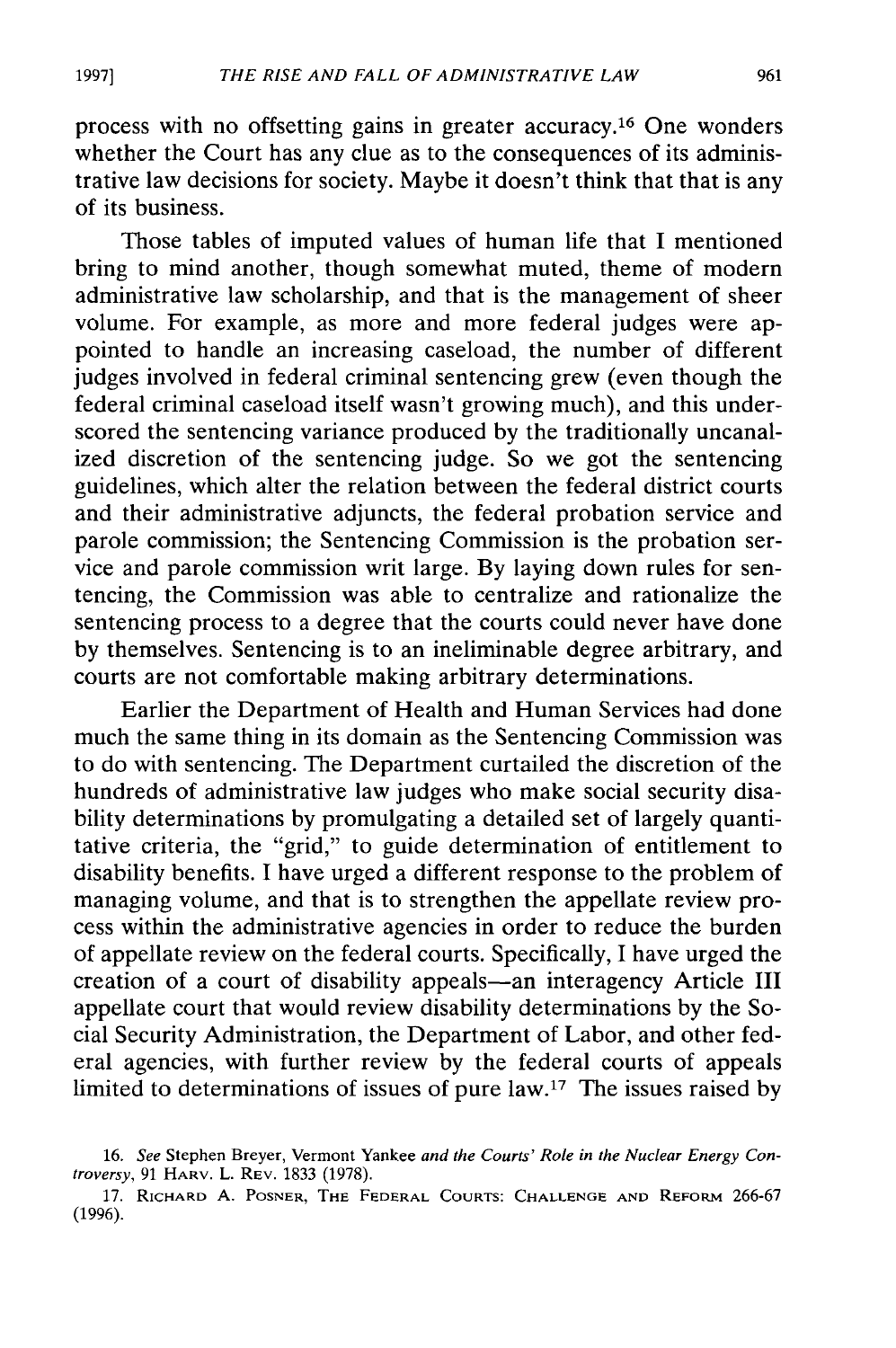process with no offsetting gains in greater accuracy. 16 One wonders whether the Court has any clue as to the consequences of its administrative law decisions for society. Maybe it doesn't think that that is any of its business.

Those tables of imputed values of human life that I mentioned bring to mind another, though somewhat muted, theme of modern administrative law scholarship, and that is the management of sheer volume. For example, as more and more federal judges were appointed to handle an increasing caseload, the number of different judges involved in federal criminal sentencing grew (even though the federal criminal caseload itself wasn't growing much), and this underscored the sentencing variance produced by the traditionally uncanalized discretion of the sentencing judge. So we got the sentencing guidelines, which alter the relation between the federal district courts and their administrative adjuncts, the federal probation service and parole commission; the Sentencing Commission is the probation service and parole commission writ large. By laying down rules for sentencing, the Commission was able to centralize and rationalize the sentencing process to a degree that the courts could never have done by themselves. Sentencing is to an ineliminable degree arbitrary, and courts are not comfortable making arbitrary determinations.

Earlier the Department of Health and Human Services had done much the same thing in its domain as the Sentencing Commission was to do with sentencing. The Department curtailed the discretion of the hundreds of administrative law judges who make social security disability determinations by promulgating a detailed set of largely quantitative criteria, the "grid," to guide determination of entitlement to disability benefits. I have urged a different response to the problem of managing volume, and that is to strengthen the appellate review process within the administrative agencies in order to reduce the burden of appellate review on the federal courts. Specifically, I have urged the creation of a court of disability appeals-an interagency Article III appellate court that would review disability determinations by the Social Security Administration, the Department of Labor, and other federal agencies, with further review by the federal courts of appeals limited to determinations of issues of pure law.<sup>17</sup> The issues raised by

**1997]**

<sup>16.</sup> See Stephen Breyer, Vermont Yankee and the Courts' Role in the Nuclear Energy Controversy, **91** HARV. L. REV. 1833 (1978).

<sup>17.</sup> RICHARD **A.** POSNER, THE FEDERAL **COURTS: CHALLENGE AND** REFORM 266-67 **(1996).**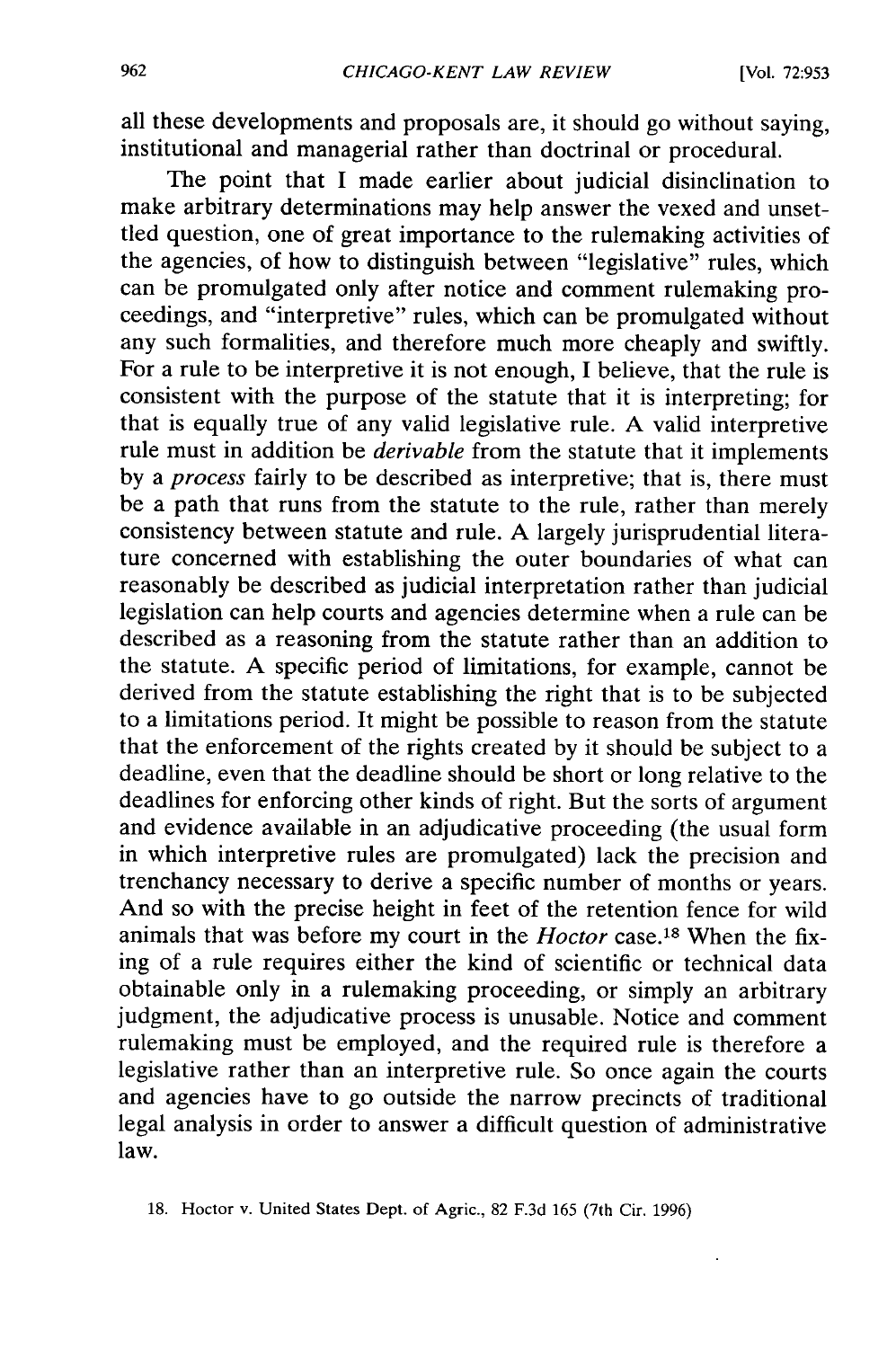all these developments and proposals are, it should go without saying, institutional and managerial rather than doctrinal or procedural.

The point that I made earlier about judicial disinclination to make arbitrary determinations may help answer the vexed and unsettled question, one of great importance to the rulemaking activities of the agencies, of how to distinguish between "legislative" rules, which can be promulgated only after notice and comment rulemaking proceedings, and "interpretive" rules, which can be promulgated without any such formalities, and therefore much more cheaply and swiftly. For a rule to be interpretive it is not enough, I believe, that the rule is consistent with the purpose of the statute that it is interpreting; for that is equally true of any valid legislative rule. A valid interpretive rule must in addition be *derivable* from the statute that it implements by a *process* fairly to be described as interpretive; that is, there must be a path that runs from the statute to the rule, rather than merely consistency between statute and rule. A largely jurisprudential literature concerned with establishing the outer boundaries of what can reasonably be described as judicial interpretation rather than judicial legislation can help courts and agencies determine when a rule can be described as a reasoning from the statute rather than an addition to the statute. A specific period of limitations, for example, cannot be derived from the statute establishing the right that is to be subjected to a limitations period. It might be possible to reason from the statute that the enforcement of the rights created by it should be subject to a deadline, even that the deadline should be short or long relative to the deadlines for enforcing other kinds of right. But the sorts of argument and evidence available in an adjudicative proceeding (the usual form in which interpretive rules are promulgated) lack the precision and trenchancy necessary to derive a specific number of months or years. And so with the precise height in feet of the retention fence for wild animals that was before my court in the *Hoctor* case.18 When the fixing of a rule requires either the kind of scientific or technical data obtainable only in a rulemaking proceeding, or simply an arbitrary judgment, the adjudicative process is unusable. Notice and comment rulemaking must be employed, and the required rule is therefore a legislative rather than an interpretive rule. So once again the courts and agencies have to go outside the narrow precincts of traditional legal analysis in order to answer a difficult question of administrative law.

<sup>18.</sup> Hoctor v. United States Dept. of Agric., 82 F.3d 165 (7th Cir. 1996)